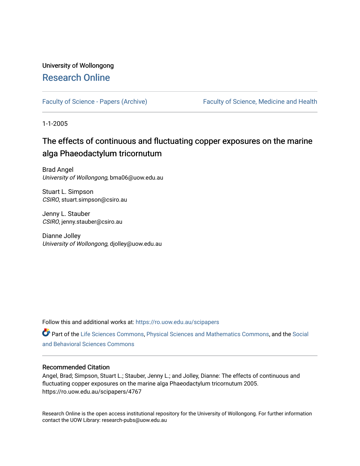# University of Wollongong [Research Online](https://ro.uow.edu.au/)

[Faculty of Science - Papers \(Archive\)](https://ro.uow.edu.au/scipapers) Faculty of Science, Medicine and Health

1-1-2005

# The effects of continuous and fluctuating copper exposures on the marine alga Phaeodactylum tricornutum

Brad Angel University of Wollongong, bma06@uow.edu.au

Stuart L. Simpson CSIRO, stuart.simpson@csiro.au

Jenny L. Stauber CSIRO, jenny.stauber@csiro.au

Dianne Jolley University of Wollongong, djolley@uow.edu.au

Follow this and additional works at: [https://ro.uow.edu.au/scipapers](https://ro.uow.edu.au/scipapers?utm_source=ro.uow.edu.au%2Fscipapers%2F4767&utm_medium=PDF&utm_campaign=PDFCoverPages)

Part of the [Life Sciences Commons,](http://network.bepress.com/hgg/discipline/1016?utm_source=ro.uow.edu.au%2Fscipapers%2F4767&utm_medium=PDF&utm_campaign=PDFCoverPages) [Physical Sciences and Mathematics Commons,](http://network.bepress.com/hgg/discipline/114?utm_source=ro.uow.edu.au%2Fscipapers%2F4767&utm_medium=PDF&utm_campaign=PDFCoverPages) and the [Social](http://network.bepress.com/hgg/discipline/316?utm_source=ro.uow.edu.au%2Fscipapers%2F4767&utm_medium=PDF&utm_campaign=PDFCoverPages)  [and Behavioral Sciences Commons](http://network.bepress.com/hgg/discipline/316?utm_source=ro.uow.edu.au%2Fscipapers%2F4767&utm_medium=PDF&utm_campaign=PDFCoverPages) 

### Recommended Citation

Angel, Brad; Simpson, Stuart L.; Stauber, Jenny L.; and Jolley, Dianne: The effects of continuous and fluctuating copper exposures on the marine alga Phaeodactylum tricornutum 2005. https://ro.uow.edu.au/scipapers/4767

Research Online is the open access institutional repository for the University of Wollongong. For further information contact the UOW Library: research-pubs@uow.edu.au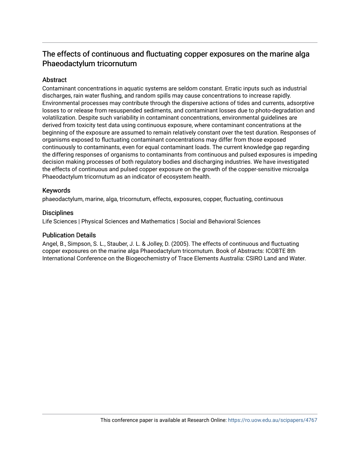# The effects of continuous and fluctuating copper exposures on the marine alga Phaeodactylum tricornutum

# **Abstract**

Contaminant concentrations in aquatic systems are seldom constant. Erratic inputs such as industrial discharges, rain water flushing, and random spills may cause concentrations to increase rapidly. Environmental processes may contribute through the dispersive actions of tides and currents, adsorptive losses to or release from resuspended sediments, and contaminant losses due to photo-degradation and volatilization. Despite such variability in contaminant concentrations, environmental guidelines are derived from toxicity test data using continuous exposure, where contaminant concentrations at the beginning of the exposure are assumed to remain relatively constant over the test duration. Responses of organisms exposed to fluctuating contaminant concentrations may differ from those exposed continuously to contaminants, even for equal contaminant loads. The current knowledge gap regarding the differing responses of organisms to contaminants from continuous and pulsed exposures is impeding decision making processes of both regulatory bodies and discharging industries. We have investigated the effects of continuous and pulsed copper exposure on the growth of the copper-sensitive microalga Phaeodactylum tricornutum as an indicator of ecosystem health.

## Keywords

phaeodactylum, marine, alga, tricornutum, effects, exposures, copper, fluctuating, continuous

## **Disciplines**

Life Sciences | Physical Sciences and Mathematics | Social and Behavioral Sciences

### Publication Details

Angel, B., Simpson, S. L., Stauber, J. L. & Jolley, D. (2005). The effects of continuous and fluctuating copper exposures on the marine alga Phaeodactylum tricornutum. Book of Abstracts: ICOBTE 8th International Conference on the Biogeochemistry of Trace Elements Australia: CSIRO Land and Water.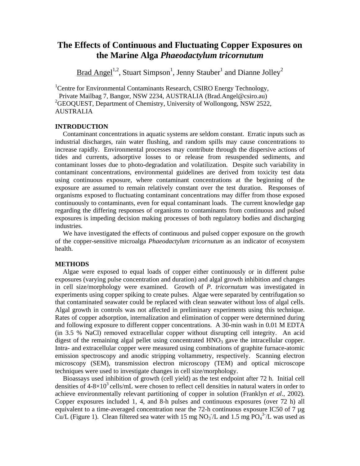# **The Effects of Continuous and Fluctuating Copper Exposures on the Marine Alga** *Phaeodactylum tricornutum*

Brad Angel<sup>1,2</sup>, Stuart Simpson<sup>1</sup>, Jenny Stauber<sup>1</sup> and Dianne Jolley<sup>2</sup>

<sup>1</sup>Centre for Environmental Contaminants Research, CSIRO Energy Technology, Private Mailbag 7, Bangor, NSW 2234, AUSTRALIA (Brad.Angel@csiro.au) <sup>2</sup>GEOQUEST, Department of Chemistry, University of Wollongong, NSW 2522, AUSTRALIA

### **INTRODUCTION**

Contaminant concentrations in aquatic systems are seldom constant. Erratic inputs such as industrial discharges, rain water flushing, and random spills may cause concentrations to increase rapidly. Environmental processes may contribute through the dispersive actions of tides and currents, adsorptive losses to or release from resuspended sediments, and contaminant losses due to photo-degradation and volatilization. Despite such variability in contaminant concentrations, environmental guidelines are derived from toxicity test data using continuous exposure, where contaminant concentrations at the beginning of the exposure are assumed to remain relatively constant over the test duration. Responses of organisms exposed to fluctuating contaminant concentrations may differ from those exposed continuously to contaminants, even for equal contaminant loads. The current knowledge gap regarding the differing responses of organisms to contaminants from continuous and pulsed exposures is impeding decision making processes of both regulatory bodies and discharging industries.

We have investigated the effects of continuous and pulsed copper exposure on the growth of the copper-sensitive microalga *Phaeodactylum tricornutum* as an indicator of ecosystem health.

### **METHODS**

Algae were exposed to equal loads of copper either continuously or in different pulse exposures (varying pulse concentration and duration) and algal growth inhibition and changes in cell size/morphology were examined. Growth of *P. tricornutum* was investigated in experiments using copper spiking to create pulses. Algae were separated by centrifugation so that contaminated seawater could be replaced with clean seawater without loss of algal cells. Algal growth in controls was not affected in preliminary experiments using this technique. Rates of copper adsorption, internalization and elimination of copper were determined during and following exposure to different copper concentrations. A 30-min wash in 0.01 M EDTA (in 3.5 % NaCl) removed extracellular copper without disrupting cell integrity. An acid digest of the remaining algal pellet using concentrated  $HNO<sub>3</sub>$  gave the intracellular copper. Intra- and extracellular copper were measured using combinations of graphite furnace-atomic emission spectroscopy and anodic stripping voltammetry, respectively. Scanning electron microscopy (SEM), transmission electron microscopy (TEM) and optical microscope techniques were used to investigate changes in cell size/morphology.

Bioassays used inhibition of growth (cell yield) as the test endpoint after 72 h. Initial cell densities of  $4-8\times10^3$  cells/mL were chosen to reflect cell densities in natural waters in order to achieve environmentally relevant partitioning of copper in solution (Franklyn *et al*., 2002). Copper exposures included 1, 4, and 8-h pulses and continuous exposures (over 72 h) all equivalent to a time-averaged concentration near the 72-h continuous exposure IC50 of 7  $\mu$ g Cu/L (Figure 1). Clean filtered sea water with 15 mg  $NO<sub>3</sub> / L$  and 1.5 mg  $PO<sub>4</sub><sup>3</sup> / L$  was used as